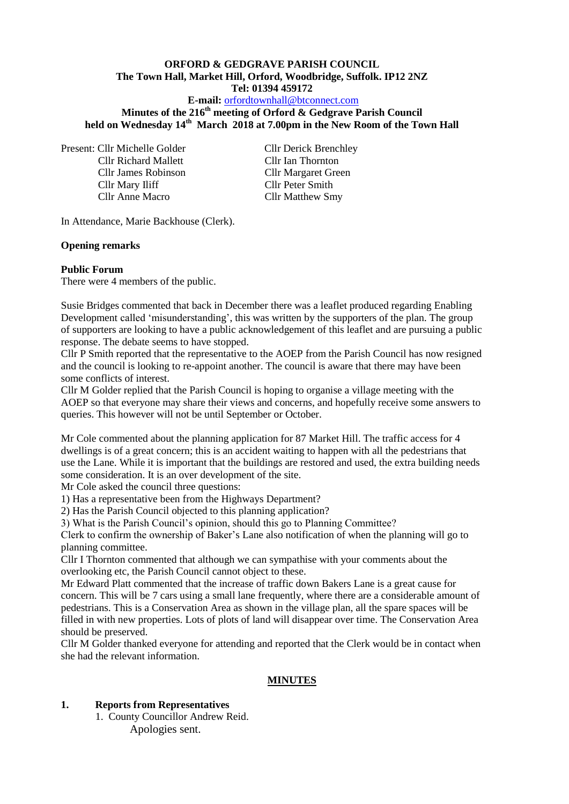### **ORFORD & GEDGRAVE PARISH COUNCIL The Town Hall, Market Hill, Orford, Woodbridge, Suffolk. IP12 2NZ Tel: 01394 459172**

#### **E-mail:** [orfordtownhall@btconnect.com](mailto:orfordtownhall@btconnect.com)

**Minutes of the 216 th meeting of Orford & Gedgrave Parish Council held on Wednesday 14th March 2018 at 7.00pm in the New Room of the Town Hall**

Present: Cllr Michelle Golder Cllr Derick Brenchley Cllr Richard Mallett Cllr Ian Thornton Cllr James Robinson Cllr Margaret Green Cllr Mary Iliff Cllr Peter Smith Cllr Anne Macro Cllr Matthew Smy

In Attendance, Marie Backhouse (Clerk).

#### **Opening remarks**

#### **Public Forum**

There were 4 members of the public.

Susie Bridges commented that back in December there was a leaflet produced regarding Enabling Development called 'misunderstanding', this was written by the supporters of the plan. The group of supporters are looking to have a public acknowledgement of this leaflet and are pursuing a public response. The debate seems to have stopped.

Cllr P Smith reported that the representative to the AOEP from the Parish Council has now resigned and the council is looking to re-appoint another. The council is aware that there may have been some conflicts of interest.

Cllr M Golder replied that the Parish Council is hoping to organise a village meeting with the AOEP so that everyone may share their views and concerns, and hopefully receive some answers to queries. This however will not be until September or October.

Mr Cole commented about the planning application for 87 Market Hill. The traffic access for 4 dwellings is of a great concern; this is an accident waiting to happen with all the pedestrians that use the Lane. While it is important that the buildings are restored and used, the extra building needs some consideration. It is an over development of the site.

Mr Cole asked the council three questions:

1) Has a representative been from the Highways Department?

2) Has the Parish Council objected to this planning application?

3) What is the Parish Council's opinion, should this go to Planning Committee?

Clerk to confirm the ownership of Baker's Lane also notification of when the planning will go to planning committee.

Cllr I Thornton commented that although we can sympathise with your comments about the overlooking etc, the Parish Council cannot object to these.

Mr Edward Platt commented that the increase of traffic down Bakers Lane is a great cause for concern. This will be 7 cars using a small lane frequently, where there are a considerable amount of pedestrians. This is a Conservation Area as shown in the village plan, all the spare spaces will be filled in with new properties. Lots of plots of land will disappear over time. The Conservation Area should be preserved.

Cllr M Golder thanked everyone for attending and reported that the Clerk would be in contact when she had the relevant information.

#### **MINUTES**

#### **1. Reports from Representatives**

1. County Councillor Andrew Reid. Apologies sent.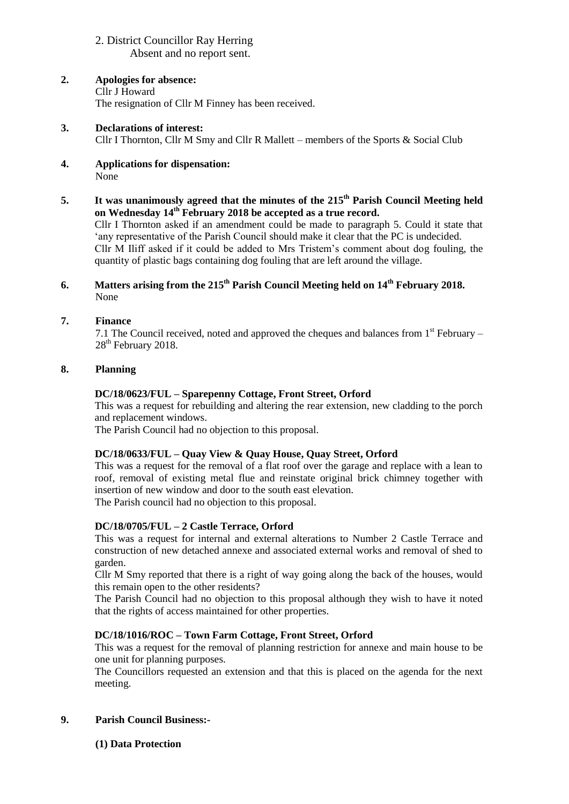### 2. District Councillor Ray Herring Absent and no report sent.

- **2. Apologies for absence:** Cllr J Howard The resignation of Cllr M Finney has been received.
- **3. Declarations of interest:** Cllr I Thornton, Cllr M Smy and Cllr R Mallett – members of the Sports & Social Club
- **4. Applications for dispensation:** None
- **5. It was unanimously agreed that the minutes of the 215th Parish Council Meeting held on Wednesday 14th February 2018 be accepted as a true record.** Cllr I Thornton asked if an amendment could be made to paragraph 5. Could it state that 'any representative of the Parish Council should make it clear that the PC is undecided. Cllr M Iliff asked if it could be added to Mrs Tristem's comment about dog fouling, the quantity of plastic bags containing dog fouling that are left around the village.

## **6. Matters arising from the 215 th Parish Council Meeting held on 14th February 2018.** None

## **7. Finance**

7.1 The Council received, noted and approved the cheques and balances from  $1<sup>st</sup>$  February – 28<sup>th</sup> February 2018.

## **8. Planning**

## **DC/18/0623/FUL – Sparepenny Cottage, Front Street, Orford**

This was a request for rebuilding and altering the rear extension, new cladding to the porch and replacement windows.

The Parish Council had no objection to this proposal.

## **DC/18/0633/FUL – Quay View & Quay House, Quay Street, Orford**

This was a request for the removal of a flat roof over the garage and replace with a lean to roof, removal of existing metal flue and reinstate original brick chimney together with insertion of new window and door to the south east elevation.

The Parish council had no objection to this proposal.

# **DC/18/0705/FUL – 2 Castle Terrace, Orford**

This was a request for internal and external alterations to Number 2 Castle Terrace and construction of new detached annexe and associated external works and removal of shed to garden.

Cllr M Smy reported that there is a right of way going along the back of the houses, would this remain open to the other residents?

The Parish Council had no objection to this proposal although they wish to have it noted that the rights of access maintained for other properties.

## **DC/18/1016/ROC – Town Farm Cottage, Front Street, Orford**

This was a request for the removal of planning restriction for annexe and main house to be one unit for planning purposes.

The Councillors requested an extension and that this is placed on the agenda for the next meeting.

## **9. Parish Council Business:-**

## **(1) Data Protection**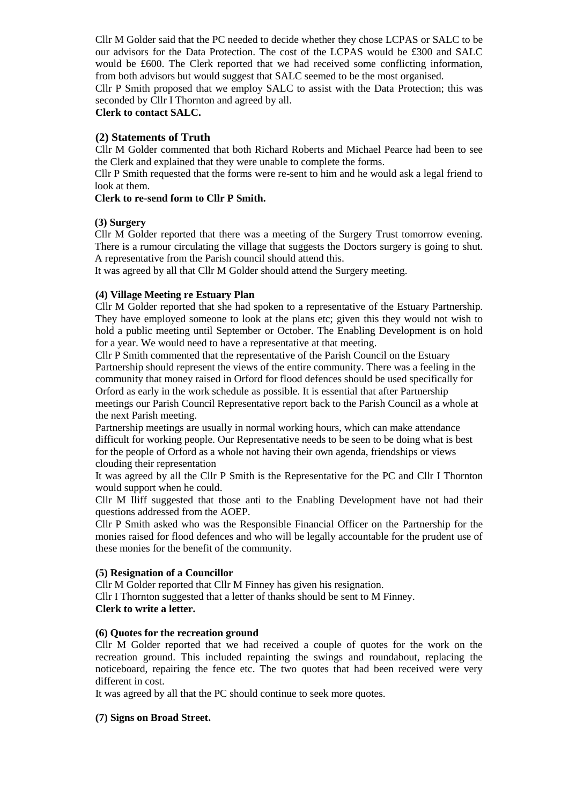Cllr M Golder said that the PC needed to decide whether they chose LCPAS or SALC to be our advisors for the Data Protection. The cost of the LCPAS would be £300 and SALC would be £600. The Clerk reported that we had received some conflicting information, from both advisors but would suggest that SALC seemed to be the most organised.

Cllr P Smith proposed that we employ SALC to assist with the Data Protection; this was seconded by Cllr I Thornton and agreed by all.

## **Clerk to contact SALC.**

### **(2) Statements of Truth**

Cllr M Golder commented that both Richard Roberts and Michael Pearce had been to see the Clerk and explained that they were unable to complete the forms.

Cllr P Smith requested that the forms were re-sent to him and he would ask a legal friend to look at them.

#### **Clerk to re-send form to Cllr P Smith.**

#### **(3) Surgery**

Cllr M Golder reported that there was a meeting of the Surgery Trust tomorrow evening. There is a rumour circulating the village that suggests the Doctors surgery is going to shut. A representative from the Parish council should attend this.

It was agreed by all that Cllr M Golder should attend the Surgery meeting.

#### **(4) Village Meeting re Estuary Plan**

Cllr M Golder reported that she had spoken to a representative of the Estuary Partnership. They have employed someone to look at the plans etc; given this they would not wish to hold a public meeting until September or October. The Enabling Development is on hold for a year. We would need to have a representative at that meeting.

Cllr P Smith commented that the representative of the Parish Council on the Estuary Partnership should represent the views of the entire community. There was a feeling in the community that money raised in Orford for flood defences should be used specifically for Orford as early in the work schedule as possible. It is essential that after Partnership meetings our Parish Council Representative report back to the Parish Council as a whole at the next Parish meeting.

Partnership meetings are usually in normal working hours, which can make attendance difficult for working people. Our Representative needs to be seen to be doing what is best for the people of Orford as a whole not having their own agenda, friendships or views clouding their representation

It was agreed by all the Cllr P Smith is the Representative for the PC and Cllr I Thornton would support when he could.

Cllr M Iliff suggested that those anti to the Enabling Development have not had their questions addressed from the AOEP.

Cllr P Smith asked who was the Responsible Financial Officer on the Partnership for the monies raised for flood defences and who will be legally accountable for the prudent use of these monies for the benefit of the community.

#### **(5) Resignation of a Councillor**

Cllr M Golder reported that Cllr M Finney has given his resignation. Cllr I Thornton suggested that a letter of thanks should be sent to M Finney. **Clerk to write a letter.**

#### **(6) Quotes for the recreation ground**

Cllr M Golder reported that we had received a couple of quotes for the work on the recreation ground. This included repainting the swings and roundabout, replacing the noticeboard, repairing the fence etc. The two quotes that had been received were very different in cost.

It was agreed by all that the PC should continue to seek more quotes.

#### **(7) Signs on Broad Street.**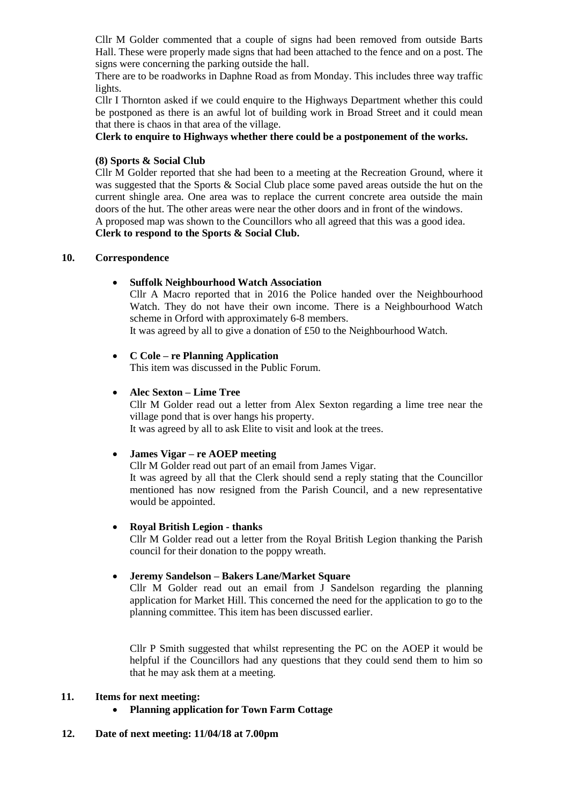Cllr M Golder commented that a couple of signs had been removed from outside Barts Hall. These were properly made signs that had been attached to the fence and on a post. The signs were concerning the parking outside the hall.

There are to be roadworks in Daphne Road as from Monday. This includes three way traffic lights.

Cllr I Thornton asked if we could enquire to the Highways Department whether this could be postponed as there is an awful lot of building work in Broad Street and it could mean that there is chaos in that area of the village.

**Clerk to enquire to Highways whether there could be a postponement of the works.** 

#### **(8) Sports & Social Club**

Cllr M Golder reported that she had been to a meeting at the Recreation Ground, where it was suggested that the Sports & Social Club place some paved areas outside the hut on the current shingle area. One area was to replace the current concrete area outside the main doors of the hut. The other areas were near the other doors and in front of the windows. A proposed map was shown to the Councillors who all agreed that this was a good idea. **Clerk to respond to the Sports & Social Club.**

### **10. Correspondence**

### **Suffolk Neighbourhood Watch Association**

Cllr A Macro reported that in 2016 the Police handed over the Neighbourhood Watch. They do not have their own income. There is a Neighbourhood Watch scheme in Orford with approximately 6-8 members.

It was agreed by all to give a donation of £50 to the Neighbourhood Watch.

### **C Cole – re Planning Application**

This item was discussed in the Public Forum.

### **Alec Sexton – Lime Tree**

Cllr M Golder read out a letter from Alex Sexton regarding a lime tree near the village pond that is over hangs his property.

It was agreed by all to ask Elite to visit and look at the trees.

#### **James Vigar – re AOEP meeting**

Cllr M Golder read out part of an email from James Vigar.

It was agreed by all that the Clerk should send a reply stating that the Councillor mentioned has now resigned from the Parish Council, and a new representative would be appointed.

#### **Royal British Legion - thanks**

Cllr M Golder read out a letter from the Royal British Legion thanking the Parish council for their donation to the poppy wreath.

#### **Jeremy Sandelson – Bakers Lane/Market Square**

Cllr M Golder read out an email from J Sandelson regarding the planning application for Market Hill. This concerned the need for the application to go to the planning committee. This item has been discussed earlier.

Cllr P Smith suggested that whilst representing the PC on the AOEP it would be helpful if the Councillors had any questions that they could send them to him so that he may ask them at a meeting.

# **11. Items for next meeting:**

**Planning application for Town Farm Cottage**

# **12. Date of next meeting: 11/04/18 at 7.00pm**